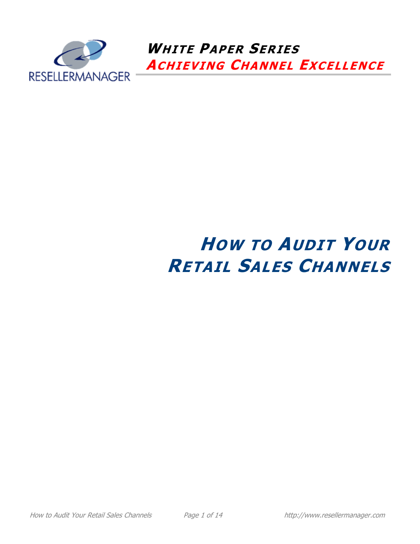

 **WHITE PAPER SERIES ACHIEVING CHANNEL EXCELLENCE**

# **HOW TO AUDIT YOUR RETAIL SALES CHANNELS**

How to Audit Your Retail Sales Channels **Page 1 of 14** http://www.resellermanager.com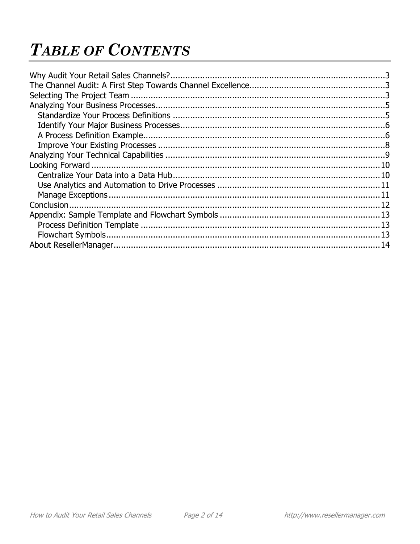## **TABLE OF CONTENTS**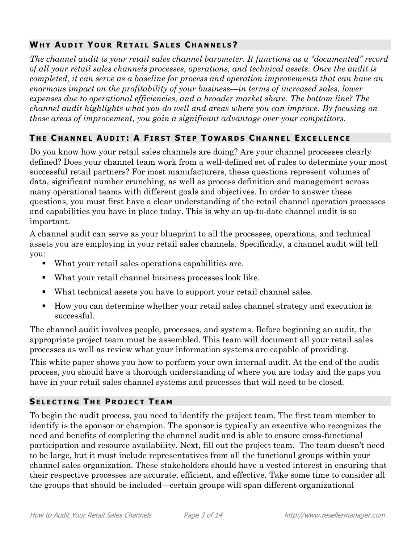## **WHY AUDIT YOUR RETAIL SALES CHANNELS?**

*The channel audit is your retail sales channel barometer. It functions as a "documented" record of all your retail sales channels processes, operations, and technical assets. Once the audit is completed, it can serve as a baseline for process and operation improvements that can have an enormous impact on the profitability of your business—in terms of increased sales, lower expenses due to operational efficiencies, and a broader market share. The bottom line? The channel audit highlights what you do well and areas where you can improve. By focusing on those areas of improvement, you gain a significant advantage over your competitors.*

## THE CHANNEL AUDIT: A FIRST STEP TOWARDS CHANNEL EXCELLENCE

Do you know how your retail sales channels are doing? Are your channel processes clearly defined? Does your channel team work from a well-defined set of rules to determine your most successful retail partners? For most manufacturers, these questions represent volumes of data, significant number crunching, as well as process definition and management across many operational teams with different goals and objectives. In order to answer these questions, you must first have a clear understanding of the retail channel operation processes and capabilities you have in place today. This is why an up-to-date channel audit is so important.

A channel audit can serve as your blueprint to all the processes, operations, and technical assets you are employing in your retail sales channels. Specifically, a channel audit will tell you:

- What your retail sales operations capabilities are.
- What your retail channel business processes look like.
- What technical assets you have to support your retail channel sales.
- How you can determine whether your retail sales channel strategy and execution is successful.

The channel audit involves people, processes, and systems. Before beginning an audit, the appropriate project team must be assembled. This team will document all your retail sales processes as well as review what your information systems are capable of providing.

This white paper shows you how to perform your own internal audit. At the end of the audit process, you should have a thorough understanding of where you are today and the gaps you have in your retail sales channel systems and processes that will need to be closed.

## **SELECTING THE PROJECT TEAM**

To begin the audit process, you need to identify the project team. The first team member to identify is the sponsor or champion. The sponsor is typically an executive who recognizes the need and benefits of completing the channel audit and is able to ensure cross-functional participation and resource availability. Next, fill out the project team. The team doesn't need to be large, but it must include representatives from all the functional groups within your channel sales organization. These stakeholders should have a vested interest in ensuring that their respective processes are accurate, efficient, and effective. Take some time to consider all the groups that should be included—certain groups will span different organizational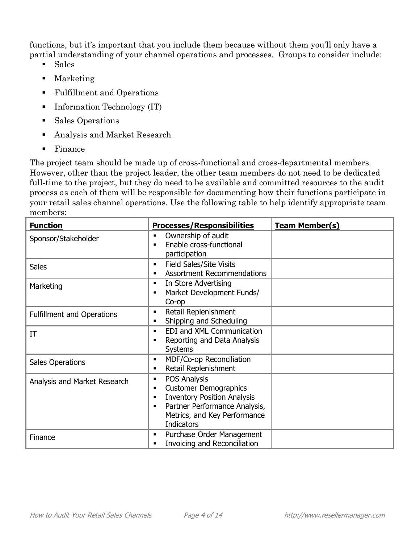functions, but it's important that you include them because without them you'll only have a partial understanding of your channel operations and processes. Groups to consider include:

- Sales
- **Marketing**
- Fulfillment and Operations
- Information Technology (IT)
- Sales Operations
- Analysis and Market Research
- **Finance**

The project team should be made up of cross-functional and cross-departmental members. However, other than the project leader, the other team members do not need to be dedicated full-time to the project, but they do need to be available and committed resources to the audit process as each of them will be responsible for documenting how their functions participate in your retail sales channel operations. Use the following table to help identify appropriate team members:

| <b>Function</b>                   | <b>Processes/Responsibilities</b>                                                                                                                                                                                                   | <b>Team Member(s)</b> |
|-----------------------------------|-------------------------------------------------------------------------------------------------------------------------------------------------------------------------------------------------------------------------------------|-----------------------|
| Sponsor/Stakeholder               | Ownership of audit<br>٠<br>Enable cross-functional<br>$\blacksquare$<br>participation                                                                                                                                               |                       |
| <b>Sales</b>                      | <b>Field Sales/Site Visits</b><br>٠<br><b>Assortment Recommendations</b>                                                                                                                                                            |                       |
| Marketing                         | In Store Advertising<br>٠<br>Market Development Funds/<br>٠<br>Co-op                                                                                                                                                                |                       |
| <b>Fulfillment and Operations</b> | Retail Replenishment<br>$\blacksquare$<br>Shipping and Scheduling<br>٠                                                                                                                                                              |                       |
| IT                                | EDI and XML Communication<br>$\blacksquare$<br>Reporting and Data Analysis<br>٠<br><b>Systems</b>                                                                                                                                   |                       |
| Sales Operations                  | MDF/Co-op Reconciliation<br>٠<br>Retail Replenishment<br>٠                                                                                                                                                                          |                       |
| Analysis and Market Research      | POS Analysis<br>٠<br><b>Customer Demographics</b><br>$\blacksquare$<br><b>Inventory Position Analysis</b><br>$\blacksquare$<br>Partner Performance Analysis,<br>$\blacksquare$<br>Metrics, and Key Performance<br><b>Indicators</b> |                       |
| Finance                           | Purchase Order Management<br>٠<br>Invoicing and Reconciliation<br>$\blacksquare$                                                                                                                                                    |                       |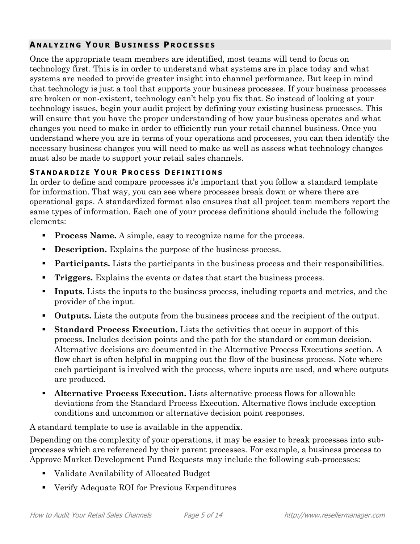## **A N A L Y Z I N G Y O U R B U S I N E S S P R O C E S S E S**

Once the appropriate team members are identified, most teams will tend to focus on technology first. This is in order to understand what systems are in place today and what systems are needed to provide greater insight into channel performance. But keep in mind that technology is just a tool that supports your business processes. If your business processes are broken or non-existent, technology can't help you fix that. So instead of looking at your technology issues, begin your audit project by defining your existing business processes. This will ensure that you have the proper understanding of how your business operates and what changes you need to make in order to efficiently run your retail channel business. Once you understand where you are in terms of your operations and processes, you can then identify the necessary business changes you will need to make as well as assess what technology changes must also be made to support your retail sales channels.

#### **S T A N D A R D I Z E Y O U R P R O C E S S D E F I N I T I O N S**

In order to define and compare processes it's important that you follow a standard template for information. That way, you can see where processes break down or where there are operational gaps. A standardized format also ensures that all project team members report the same types of information. Each one of your process definitions should include the following elements:

- **Process Name.** A simple, easy to recognize name for the process.
- **Description.** Explains the purpose of the business process.
- **Participants.** Lists the participants in the business process and their responsibilities.
- **Triggers.** Explains the events or dates that start the business process.
- **Inputs.** Lists the inputs to the business process, including reports and metrics, and the provider of the input.
- **Outputs.** Lists the outputs from the business process and the recipient of the output.
- **Standard Process Execution.** Lists the activities that occur in support of this process. Includes decision points and the path for the standard or common decision. Alternative decisions are documented in the Alternative Process Executions section. A flow chart is often helpful in mapping out the flow of the business process. Note where each participant is involved with the process, where inputs are used, and where outputs are produced.
- **Alternative Process Execution.** Lists alternative process flows for allowable deviations from the Standard Process Execution. Alternative flows include exception conditions and uncommon or alternative decision point responses.

A standard template to use is available in the appendix.

Depending on the complexity of your operations, it may be easier to break processes into subprocesses which are referenced by their parent processes. For example, a business process to Approve Market Development Fund Requests may include the following sub-processes:

- Validate Availability of Allocated Budget
- Verify Adequate ROI for Previous Expenditures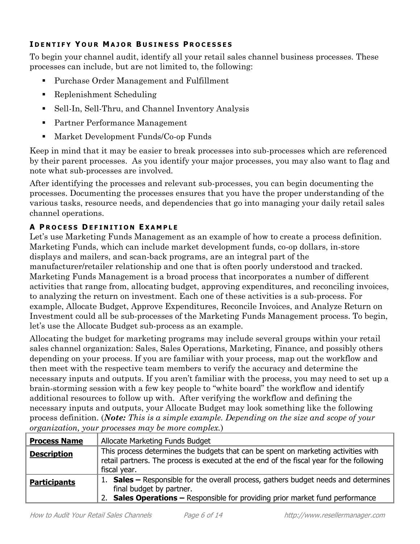## **I D E N T I F Y Y O U R M A J O R B U S I N E S S P R O C E S S E S**

To begin your channel audit, identify all your retail sales channel business processes. These processes can include, but are not limited to, the following:

- Purchase Order Management and Fulfillment
- Replenishment Scheduling
- Sell-In, Sell-Thru, and Channel Inventory Analysis
- Partner Performance Management
- Market Development Funds/Co-op Funds

Keep in mind that it may be easier to break processes into sub-processes which are referenced by their parent processes. As you identify your major processes, you may also want to flag and note what sub-processes are involved.

After identifying the processes and relevant sub-processes, you can begin documenting the processes. Documenting the processes ensures that you have the proper understanding of the various tasks, resource needs, and dependencies that go into managing your daily retail sales channel operations.

## **A P R O C E S S D E F I N I T I O N E X A M P L E**

Let's use Marketing Funds Management as an example of how to create a process definition. Marketing Funds, which can include market development funds, co-op dollars, in-store displays and mailers, and scan-back programs, are an integral part of the manufacturer/retailer relationship and one that is often poorly understood and tracked. Marketing Funds Management is a broad process that incorporates a number of different activities that range from, allocating budget, approving expenditures, and reconciling invoices, to analyzing the return on investment. Each one of these activities is a sub-process. For example, Allocate Budget, Approve Expenditures, Reconcile Invoices, and Analyze Return on Investment could all be sub-processes of the Marketing Funds Management process. To begin, let's use the Allocate Budget sub-process as an example.

Allocating the budget for marketing programs may include several groups within your retail sales channel organization: Sales, Sales Operations, Marketing, Finance, and possibly others depending on your process. If you are familiar with your process, map out the workflow and then meet with the respective team members to verify the accuracy and determine the necessary inputs and outputs. If you aren't familiar with the process, you may need to set up a brain-storming session with a few key people to "white board" the workflow and identify additional resources to follow up with. After verifying the workflow and defining the necessary inputs and outputs, your Allocate Budget may look something like the following process definition. (*Note: This is a simple example. Depending on the size and scope of your organization, your processes may be more complex.*)

| <b>Process Name</b> | Allocate Marketing Funds Budget                                                                                                                                                                  |
|---------------------|--------------------------------------------------------------------------------------------------------------------------------------------------------------------------------------------------|
| <b>Description</b>  | This process determines the budgets that can be spent on marketing activities with<br>retail partners. The process is executed at the end of the fiscal year for the following<br>fiscal year.   |
| <b>Participants</b> | 1. Sales – Responsible for the overall process, gathers budget needs and determines<br>final budget by partner.<br>2. Sales Operations - Responsible for providing prior market fund performance |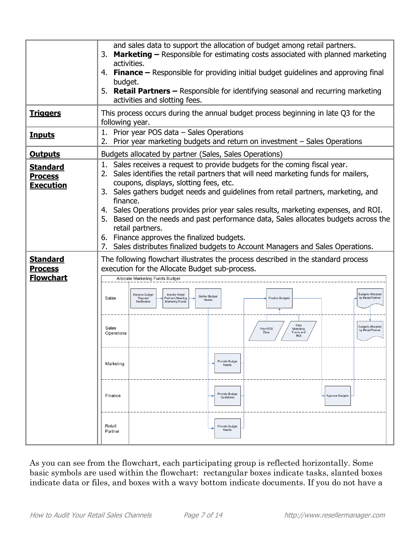|                                                       | and sales data to support the allocation of budget among retail partners.<br><b>Marketing –</b> Responsible for estimating costs associated with planned marketing<br>3.<br>activities.<br>4. Finance – Responsible for providing initial budget guidelines and approving final<br>budget.<br>5. Retail Partners – Responsible for identifying seasonal and recurring marketing<br>activities and slotting fees.                                                                                                                                                                                                                                          |  |
|-------------------------------------------------------|-----------------------------------------------------------------------------------------------------------------------------------------------------------------------------------------------------------------------------------------------------------------------------------------------------------------------------------------------------------------------------------------------------------------------------------------------------------------------------------------------------------------------------------------------------------------------------------------------------------------------------------------------------------|--|
| <b>Triggers</b>                                       | This process occurs during the annual budget process beginning in late Q3 for the<br>following year.                                                                                                                                                                                                                                                                                                                                                                                                                                                                                                                                                      |  |
| <b>Inputs</b>                                         | 1. Prior year POS data - Sales Operations<br>2. Prior year marketing budgets and return on investment - Sales Operations                                                                                                                                                                                                                                                                                                                                                                                                                                                                                                                                  |  |
| <b>Outputs</b>                                        | Budgets allocated by partner (Sales, Sales Operations)                                                                                                                                                                                                                                                                                                                                                                                                                                                                                                                                                                                                    |  |
| <b>Standard</b><br><b>Process</b><br><b>Execution</b> | Sales receives a request to provide budgets for the coming fiscal year.<br>1.<br>Sales identifies the retail partners that will need marketing funds for mailers,<br>2.<br>coupons, displays, slotting fees, etc.<br>3. Sales gathers budget needs and guidelines from retail partners, marketing, and<br>finance.<br>4. Sales Operations provides prior year sales results, marketing expenses, and ROI.<br>5. Based on the needs and past performance data, Sales allocates budgets across the<br>retail partners.<br>6. Finance approves the finalized budgets.<br>Sales distributes finalized budgets to Account Managers and Sales Operations.<br>7. |  |
| <b>Standard</b><br><b>Process</b><br><b>Flowchart</b> | The following flowchart illustrates the process described in the standard process<br>execution for the Allocate Budget sub-process.<br>Allocate Marketing Funds Budget                                                                                                                                                                                                                                                                                                                                                                                                                                                                                    |  |
|                                                       | <b>Budgets Allocated</b><br>Receive Budget<br>Identify Retail<br>Gather Budget<br>by Retail Partner<br>Sales<br>Request<br><b>Partners Needing</b><br><b>Finalize Budgets</b><br>Needs<br>Notification<br>Marketing Funds                                                                                                                                                                                                                                                                                                                                                                                                                                 |  |
|                                                       | Prior<br><b>Budgets Allocated</b><br>Sales<br>Prior POS<br>Marketing<br>by Retail Partner<br>Funds and<br>Data<br>Operations<br><b>RO</b>                                                                                                                                                                                                                                                                                                                                                                                                                                                                                                                 |  |
|                                                       | Provide Budget<br>Marketing<br>Needs                                                                                                                                                                                                                                                                                                                                                                                                                                                                                                                                                                                                                      |  |
|                                                       | Provide Budget<br>Finance<br>Approve Budgets<br>Guidelines                                                                                                                                                                                                                                                                                                                                                                                                                                                                                                                                                                                                |  |
|                                                       | Retail<br>Provide Budget<br>Needs<br>Partner                                                                                                                                                                                                                                                                                                                                                                                                                                                                                                                                                                                                              |  |

As you can see from the flowchart, each participating group is reflected horizontally. Some basic symbols are used within the flowchart: rectangular boxes indicate tasks, slanted boxes indicate data or files, and boxes with a wavy bottom indicate documents. If you do not have a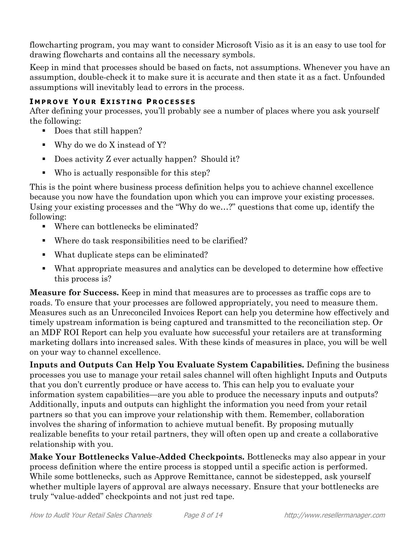flowcharting program, you may want to consider Microsoft Visio as it is an easy to use tool for drawing flowcharts and contains all the necessary symbols.

Keep in mind that processes should be based on facts, not assumptions. Whenever you have an assumption, double-check it to make sure it is accurate and then state it as a fact. Unfounded assumptions will inevitably lead to errors in the process.

## **I M P R O V E Y O U R E X I S T I N G P R O C E S S E S**

After defining your processes, you'll probably see a number of places where you ask yourself the following:

- Does that still happen?
- Why do we do X instead of Y?
- Does activity Z ever actually happen? Should it?
- Who is actually responsible for this step?

This is the point where business process definition helps you to achieve channel excellence because you now have the foundation upon which you can improve your existing processes. Using your existing processes and the "Why do we…?" questions that come up, identify the following:

- Where can bottlenecks be eliminated?
- Where do task responsibilities need to be clarified?
- What duplicate steps can be eliminated?
- What appropriate measures and analytics can be developed to determine how effective this process is?

**Measure for Success.** Keep in mind that measures are to processes as traffic cops are to roads. To ensure that your processes are followed appropriately, you need to measure them. Measures such as an Unreconciled Invoices Report can help you determine how effectively and timely upstream information is being captured and transmitted to the reconciliation step. Or an MDF ROI Report can help you evaluate how successful your retailers are at transforming marketing dollars into increased sales. With these kinds of measures in place, you will be well on your way to channel excellence.

**Inputs and Outputs Can Help You Evaluate System Capabilities.** Defining the business processes you use to manage your retail sales channel will often highlight Inputs and Outputs that you don't currently produce or have access to. This can help you to evaluate your information system capabilities—are you able to produce the necessary inputs and outputs? Additionally, inputs and outputs can highlight the information you need from your retail partners so that you can improve your relationship with them. Remember, collaboration involves the sharing of information to achieve mutual benefit. By proposing mutually realizable benefits to your retail partners, they will often open up and create a collaborative relationship with you.

**Make Your Bottlenecks Value-Added Checkpoints.** Bottlenecks may also appear in your process definition where the entire process is stopped until a specific action is performed. While some bottlenecks, such as Approve Remittance, cannot be sidestepped, ask yourself whether multiple layers of approval are always necessary. Ensure that your bottlenecks are truly "value-added" checkpoints and not just red tape.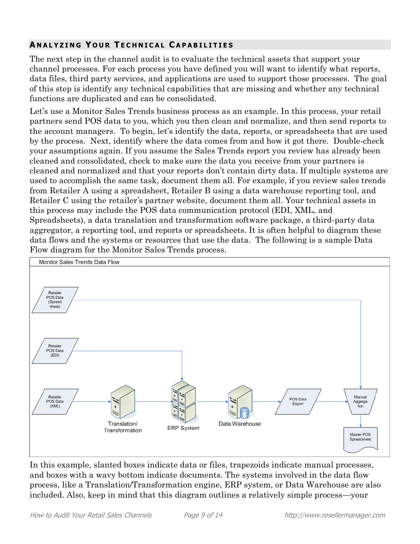## **A N A L Y Z I N G Y O U R T E C H N I C A L C A P A B I L I T I E S**

The next step in the channel audit is to evaluate the technical assets that support your channel processes. For each process you have defined you will want to identify what reports, data files, third party services, and applications are used to support those processes. The goal of this step is identify any technical capabilities that are missing and whether any technical functions are duplicated and can be consolidated.

Let's use a Monitor Sales Trends business process as an example. In this process, your retail partners send POS data to you, which you then clean and normalize, and then send reports to the account managers. To begin, let's identify the data, reports, or spreadsheets that are used by the process. Next, identify where the data comes from and how it got there. Double-check your assumptions again. If you assume the Sales Trends report you review has already been cleaned and consolidated, check to make sure the data you receive from your partners is cleaned and normalized and that your reports don't contain dirty data. If multiple systems are used to accomplish the same task, document them all. For example, if you review sales trends from Retailer A using a spreadsheet, Retailer B using a data warehouse reporting tool, and Retailer C using the retailer's partner website, document them all. Your technical assets in this process may include the POS data communication protocol (EDI, XML, and Spreadsheets), a data translation and transformation software package, a third-party data aggregator, a reporting tool, and reports or spreadsheets. It is often helpful to diagram these data flows and the systems or resources that use the data. The following is a sample Data Flow diagram for the Monitor Sales Trends process.



In this example, slanted boxes indicate data or files, trapezoids indicate manual processes, and boxes with a wavy bottom indicate documents. The systems involved in the data flow process, like a Translation/Transformation engine, ERP system, or Data Warehouse are also included. Also, keep in mind that this diagram outlines a relatively simple process—your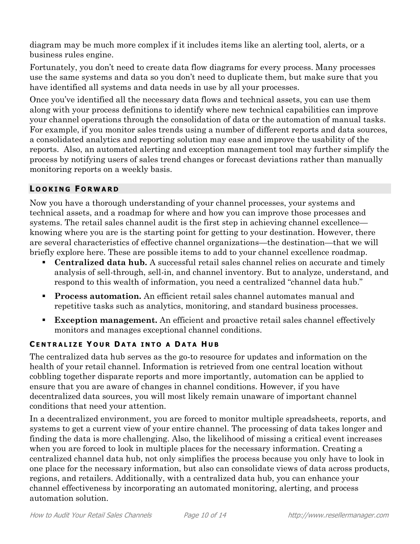diagram may be much more complex if it includes items like an alerting tool, alerts, or a business rules engine.

Fortunately, you don't need to create data flow diagrams for every process. Many processes use the same systems and data so you don't need to duplicate them, but make sure that you have identified all systems and data needs in use by all your processes.

Once you've identified all the necessary data flows and technical assets, you can use them along with your process definitions to identify where new technical capabilities can improve your channel operations through the consolidation of data or the automation of manual tasks. For example, if you monitor sales trends using a number of different reports and data sources, a consolidated analytics and reporting solution may ease and improve the usability of the reports. Also, an automated alerting and exception management tool may further simplify the process by notifying users of sales trend changes or forecast deviations rather than manually monitoring reports on a weekly basis.

## **L O O K I N G F O R W A R D**

Now you have a thorough understanding of your channel processes, your systems and technical assets, and a roadmap for where and how you can improve those processes and systems. The retail sales channel audit is the first step in achieving channel excellence knowing where you are is the starting point for getting to your destination. However, there are several characteristics of effective channel organizations—the destination—that we will briefly explore here. These are possible items to add to your channel excellence roadmap.

- **Centralized data hub.** A successful retail sales channel relies on accurate and timely analysis of sell-through, sell-in, and channel inventory. But to analyze, understand, and respond to this wealth of information, you need a centralized "channel data hub."
- **Process automation.** An efficient retail sales channel automates manual and repetitive tasks such as analytics, monitoring, and standard business processes.
- **Exception management.** An efficient and proactive retail sales channel effectively monitors and manages exceptional channel conditions.

## **C E N T R A L I Z E Y O U R D A T A I N T O A D A T A H U B**

The centralized data hub serves as the go-to resource for updates and information on the health of your retail channel. Information is retrieved from one central location without cobbling together disparate reports and more importantly, automation can be applied to ensure that you are aware of changes in channel conditions. However, if you have decentralized data sources, you will most likely remain unaware of important channel conditions that need your attention.

In a decentralized environment, you are forced to monitor multiple spreadsheets, reports, and systems to get a current view of your entire channel. The processing of data takes longer and finding the data is more challenging. Also, the likelihood of missing a critical event increases when you are forced to look in multiple places for the necessary information. Creating a centralized channel data hub, not only simplifies the process because you only have to look in one place for the necessary information, but also can consolidate views of data across products, regions, and retailers. Additionally, with a centralized data hub, you can enhance your channel effectiveness by incorporating an automated monitoring, alerting, and process automation solution.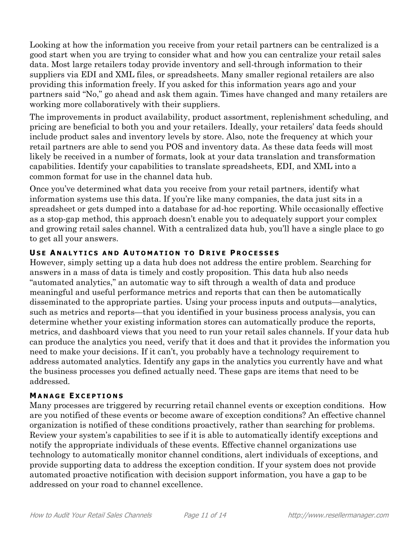Looking at how the information you receive from your retail partners can be centralized is a good start when you are trying to consider what and how you can centralize your retail sales data. Most large retailers today provide inventory and sell-through information to their suppliers via EDI and XML files, or spreadsheets. Many smaller regional retailers are also providing this information freely. If you asked for this information years ago and your partners said "No," go ahead and ask them again. Times have changed and many retailers are working more collaboratively with their suppliers.

The improvements in product availability, product assortment, replenishment scheduling, and pricing are beneficial to both you and your retailers. Ideally, your retailers' data feeds should include product sales and inventory levels by store. Also, note the frequency at which your retail partners are able to send you POS and inventory data. As these data feeds will most likely be received in a number of formats, look at your data translation and transformation capabilities. Identify your capabilities to translate spreadsheets, EDI, and XML into a common format for use in the channel data hub.

Once you've determined what data you receive from your retail partners, identify what information systems use this data. If you're like many companies, the data just sits in a spreadsheet or gets dumped into a database for ad-hoc reporting. While occasionally effective as a stop-gap method, this approach doesn't enable you to adequately support your complex and growing retail sales channel. With a centralized data hub, you'll have a single place to go to get all your answers.

## **U S E A N A L Y T I C S A N D A U T O M A T I O N T O D R I V E P R O C E S S E S**

However, simply setting up a data hub does not address the entire problem. Searching for answers in a mass of data is timely and costly proposition. This data hub also needs "automated analytics," an automatic way to sift through a wealth of data and produce meaningful and useful performance metrics and reports that can then be automatically disseminated to the appropriate parties. Using your process inputs and outputs—analytics, such as metrics and reports—that you identified in your business process analysis, you can determine whether your existing information stores can automatically produce the reports, metrics, and dashboard views that you need to run your retail sales channels. If your data hub can produce the analytics you need, verify that it does and that it provides the information you need to make your decisions. If it can't, you probably have a technology requirement to address automated analytics. Identify any gaps in the analytics you currently have and what the business processes you defined actually need. These gaps are items that need to be addressed.

#### **M A N A G E E X C E P T I O N S**

Many processes are triggered by recurring retail channel events or exception conditions. How are you notified of these events or become aware of exception conditions? An effective channel organization is notified of these conditions proactively, rather than searching for problems. Review your system's capabilities to see if it is able to automatically identify exceptions and notify the appropriate individuals of these events. Effective channel organizations use technology to automatically monitor channel conditions, alert individuals of exceptions, and provide supporting data to address the exception condition. If your system does not provide automated proactive notification with decision support information, you have a gap to be addressed on your road to channel excellence.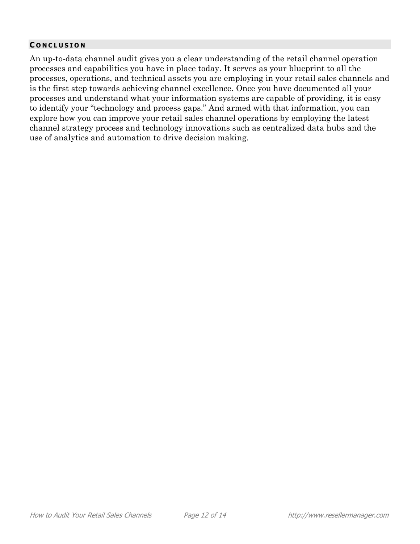#### **C O N C L U S I O N**

An up-to-data channel audit gives you a clear understanding of the retail channel operation processes and capabilities you have in place today. It serves as your blueprint to all the processes, operations, and technical assets you are employing in your retail sales channels and is the first step towards achieving channel excellence. Once you have documented all your processes and understand what your information systems are capable of providing, it is easy to identify your "technology and process gaps." And armed with that information, you can explore how you can improve your retail sales channel operations by employing the latest channel strategy process and technology innovations such as centralized data hubs and the use of analytics and automation to drive decision making.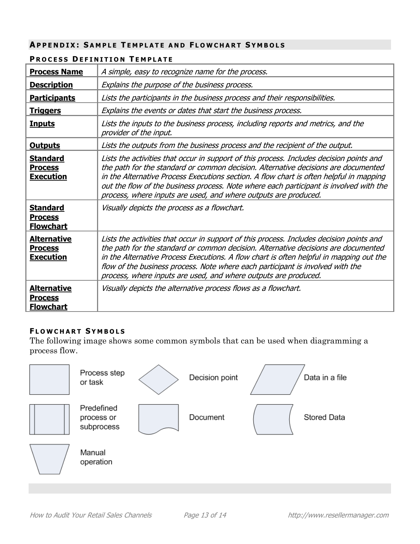#### **AP P E N D I X : S A M P L E T E M P L A T E A N D F L O W C H A R T S Y M B O L S**

| <b>Process Name</b>                                      | A simple, easy to recognize name for the process.                                                                                                                                                                                                                                                                                                                                                                                      |
|----------------------------------------------------------|----------------------------------------------------------------------------------------------------------------------------------------------------------------------------------------------------------------------------------------------------------------------------------------------------------------------------------------------------------------------------------------------------------------------------------------|
| <b>Description</b>                                       | Explains the purpose of the business process.                                                                                                                                                                                                                                                                                                                                                                                          |
| <b>Participants</b>                                      | Lists the participants in the business process and their responsibilities.                                                                                                                                                                                                                                                                                                                                                             |
| <u>Triggers</u>                                          | Explains the events or dates that start the business process.                                                                                                                                                                                                                                                                                                                                                                          |
| <b>Inputs</b>                                            | Lists the inputs to the business process, including reports and metrics, and the<br>provider of the input.                                                                                                                                                                                                                                                                                                                             |
| <b>Outputs</b>                                           | Lists the outputs from the business process and the recipient of the output.                                                                                                                                                                                                                                                                                                                                                           |
| <b>Standard</b><br><b>Process</b><br><b>Execution</b>    | Lists the activities that occur in support of this process. Includes decision points and<br>the path for the standard or common decision. Alternative decisions are documented<br>in the Alternative Process Executions section. A flow chart is often helpful in mapping<br>out the flow of the business process. Note where each participant is involved with the<br>process, where inputs are used, and where outputs are produced. |
| <b>Standard</b><br><b>Process</b><br><b>Flowchart</b>    | Visually depicts the process as a flowchart.                                                                                                                                                                                                                                                                                                                                                                                           |
| <b>Alternative</b><br><b>Process</b><br><b>Execution</b> | Lists the activities that occur in support of this process. Includes decision points and<br>the path for the standard or common decision. Alternative decisions are documented<br>in the Alternative Process Executions. A flow chart is often helpful in mapping out the<br>flow of the business process. Note where each participant is involved with the<br>process, where inputs are used, and where outputs are produced.         |
| <b>Alternative</b><br><b>Process</b><br><b>Flowchart</b> | Visually depicts the alternative process flows as a flowchart.                                                                                                                                                                                                                                                                                                                                                                         |

#### **P R O C E S S D E F I N I T I O N T E M P L A T E**

#### **F L O W C H A R T S Y M B O L S**

The following image shows some common symbols that can be used when diagramming a process flow.